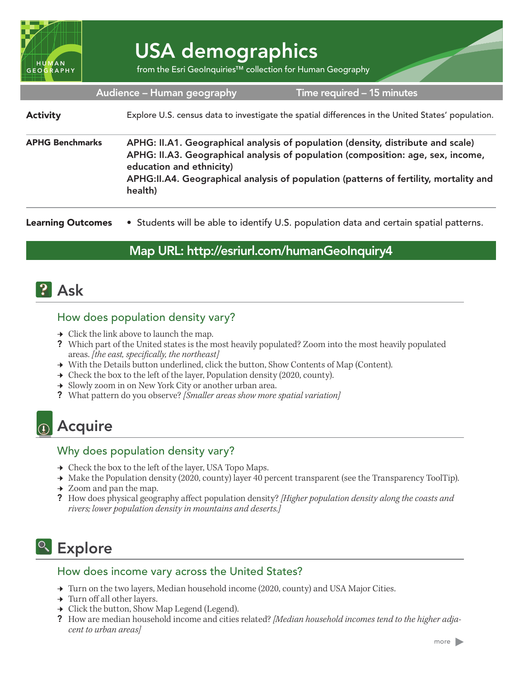

# USA demographics

from the Esri GeoInquiries™ collection for Human Geography

#### Audience – Human geography

Time required – 15 minutes

### Explore U.S. census data to investigate the spatial differences in the United States' population. APHG: II.A1. Geographical analysis of population (density, distribute and scale) APHG: II.A3. Geographical analysis of population (composition: age, sex, income, education and ethnicity) APHG:II.A4. Geographical analysis of population (patterns of fertility, mortality and health) APHG Benchmarks **Activity**

• Students will be able to identify U.S. population data and certain spatial patterns. Learning Outcomes

### Map URL: http://esriurl.com/humanGeoInquiry4

## **P** Ask

### How does population density vary?

- $\rightarrow$  Click the link above to launch the map.
- ? Which part of the United states is the most heavily populated? Zoom into the most heavily populated areas. *[the east, specifically, the northeast]*
- → With the Details button underlined, click the button, Show Contents of Map (Content).
- → Check the box to the left of the layer, Population density (2020, county).
- **→** Slowly zoom in on New York City or another urban area.
- ? What pattern do you observe? *[Smaller areas show more spatial variation]*

## <sup><sup>®</sup> Acquire</sup>

### Why does population density vary?

- → Check the box to the left of the layer, USA Topo Maps.
- → Make the Population density (2020, county) layer 40 percent transparent (see the Transparency ToolTip).
- $\rightarrow$  Zoom and pan the map.
- ? How does physical geography affect population density? *[Higher population density along the coasts and rivers; lower population density in mountains and deserts.]*

# <sup>o</sup> Explore

#### How does income vary across the United States?

- $\rightarrow$  Turn on the two layers, Median household income (2020, county) and USA Major Cities.
- → Turn off all other layers.
- **→** Click the button, Show Map Legend (Legend).
- ? How are median household income and cities related? *[Median household incomes tend to the higher adjacent to urban areas]*